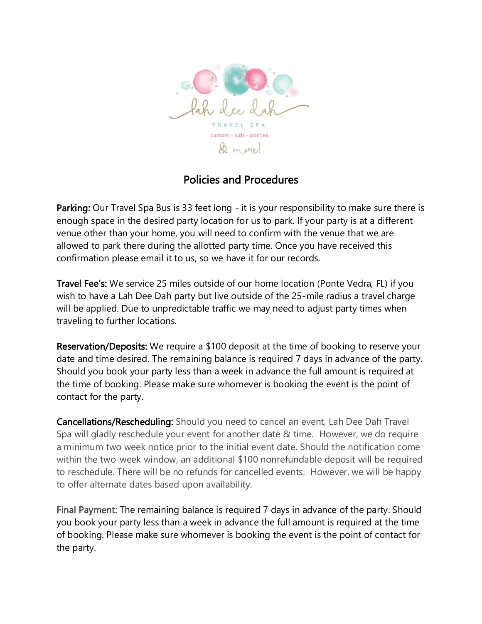

## Policies and Procedures

Parking: Our Travel Spa Bus is 33 feet long - it is your responsibility to make sure there is enough space in the desired party location for us to park. If your party is at a different venue other than your home, you will need to confirm with the venue that we are allowed to park there during the allotted party time. Once you have received this confirmation please email it to us, so we have it for our records.

Travel Fee's: We service 25 miles outside of our home location (Ponte Vedra, FL) if you wish to have a Lah Dee Dah party but live outside of the 25-mile radius a travel charge will be applied. Due to unpredictable traffic we may need to adjust party times when traveling to further locations.

Reservation/Deposits: We require a \$100 deposit at the time of booking to reserve your date and time desired. The remaining balance is required 7 days in advance of the party. Should you book your party less than a week in advance the full amount is required at the time of booking. Please make sure whomever is booking the event is the point of contact for the party.

Cancellations/Rescheduling: Should you need to cancel an event, Lah Dee Dah Travel Spa will gladly reschedule your event for another date & time. However, we do require a minimum two week notice prior to the initial event date. Should the notification come within the two-week window, an additional \$100 nonrefundable deposit will be required to reschedule. There will be no refunds for cancelled events. However, we will be happy to offer alternate dates based upon availability.

Final Payment: The remaining balance is required 7 days in advance of the party. Should you book your party less than a week in advance the full amount is required at the time of booking. Please make sure whomever is booking the event is the point of contact for the party.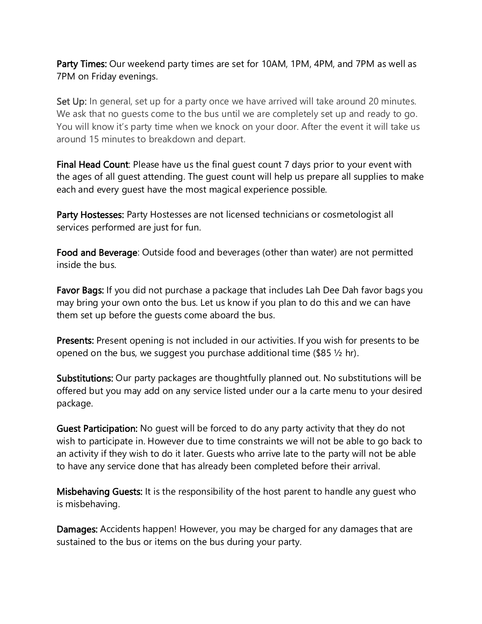Party Times: Our weekend party times are set for 10AM, 1PM, 4PM, and 7PM as well as 7PM on Friday evenings.

Set Up: In general, set up for a party once we have arrived will take around 20 minutes. We ask that no guests come to the bus until we are completely set up and ready to go. You will know it's party time when we knock on your door. After the event it will take us around 15 minutes to breakdown and depart.

Final Head Count: Please have us the final guest count 7 days prior to your event with the ages of all guest attending. The guest count will help us prepare all supplies to make each and every guest have the most magical experience possible.

Party Hostesses: Party Hostesses are not licensed technicians or cosmetologist all services performed are just for fun.

Food and Beverage: Outside food and beverages (other than water) are not permitted inside the bus.

Favor Bags: If you did not purchase a package that includes Lah Dee Dah favor bags you may bring your own onto the bus. Let us know if you plan to do this and we can have them set up before the guests come aboard the bus.

Presents: Present opening is not included in our activities. If you wish for presents to be opened on the bus, we suggest you purchase additional time (\$85  $\frac{1}{2}$  hr).

Substitutions: Our party packages are thoughtfully planned out. No substitutions will be offered but you may add on any service listed under our a la carte menu to your desired package.

Guest Participation: No guest will be forced to do any party activity that they do not wish to participate in. However due to time constraints we will not be able to go back to an activity if they wish to do it later. Guests who arrive late to the party will not be able to have any service done that has already been completed before their arrival.

Misbehaving Guests: It is the responsibility of the host parent to handle any quest who is misbehaving.

Damages: Accidents happen! However, you may be charged for any damages that are sustained to the bus or items on the bus during your party.